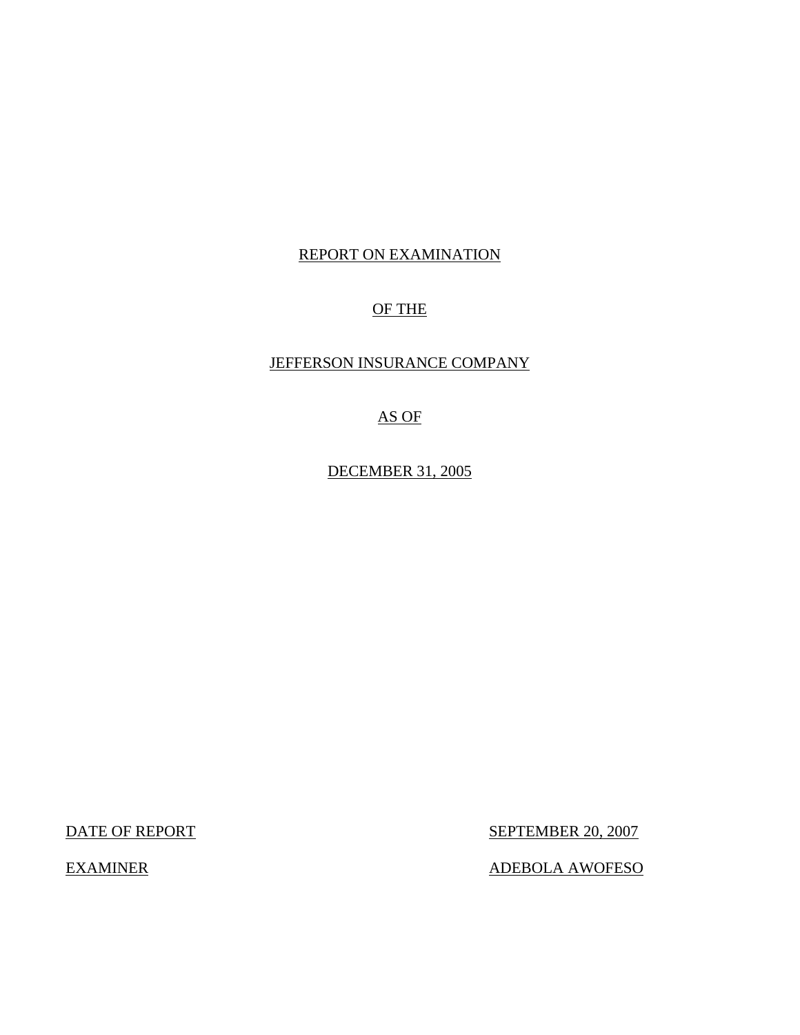## REPORT ON EXAMINATION

## OF THE

### JEFFERSON INSURANCE COMPANY

## AS OF

DECEMBER 31, 2005

DATE OF REPORT SEPTEMBER 20, 2007

EXAMINER ADEBOLA AWOFESO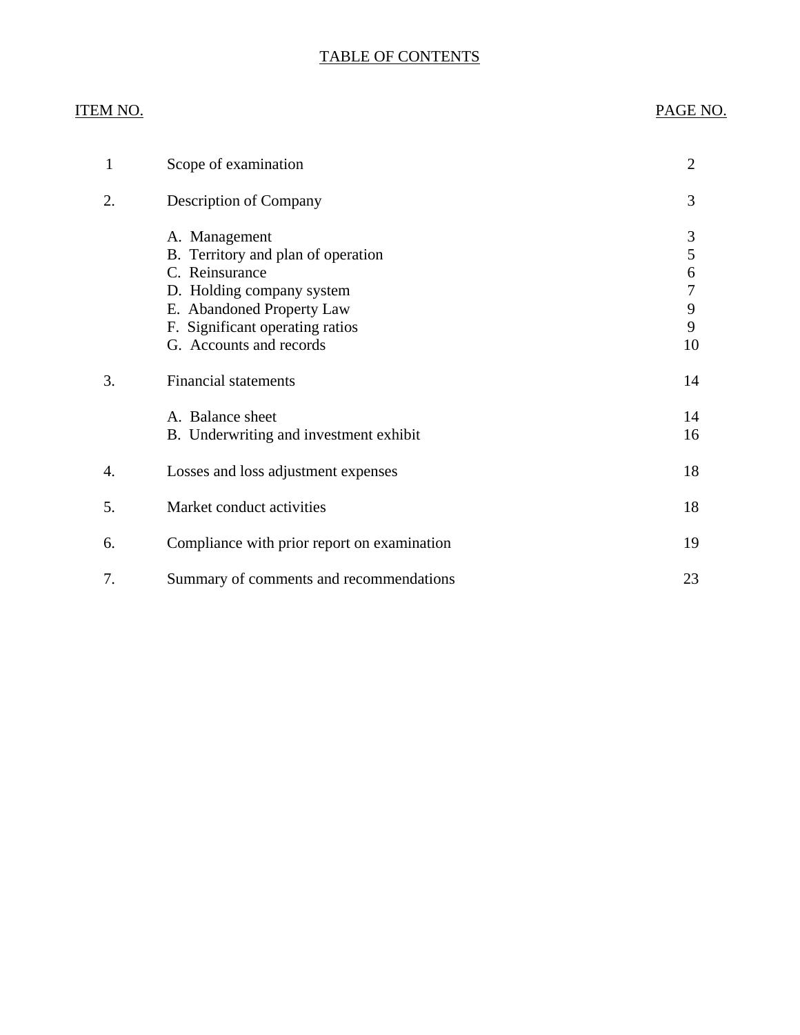## TABLE OF CONTENTS

## ITEM NO. PAGE NO.

| 1  | Scope of examination                                                                                                                                                                          | $\overline{2}$                   |
|----|-----------------------------------------------------------------------------------------------------------------------------------------------------------------------------------------------|----------------------------------|
| 2. | <b>Description of Company</b>                                                                                                                                                                 | 3                                |
|    | A. Management<br>B. Territory and plan of operation<br>C. Reinsurance<br>D. Holding company system<br>E. Abandoned Property Law<br>F. Significant operating ratios<br>G. Accounts and records | 3<br>5<br>6<br>7<br>9<br>9<br>10 |
| 3. | <b>Financial statements</b>                                                                                                                                                                   | 14                               |
|    | A. Balance sheet<br>B. Underwriting and investment exhibit                                                                                                                                    | 14<br>16                         |
| 4. | Losses and loss adjustment expenses                                                                                                                                                           | 18                               |
| 5. | Market conduct activities                                                                                                                                                                     | 18                               |
| 6. | Compliance with prior report on examination                                                                                                                                                   | 19                               |
| 7. | Summary of comments and recommendations                                                                                                                                                       | 23                               |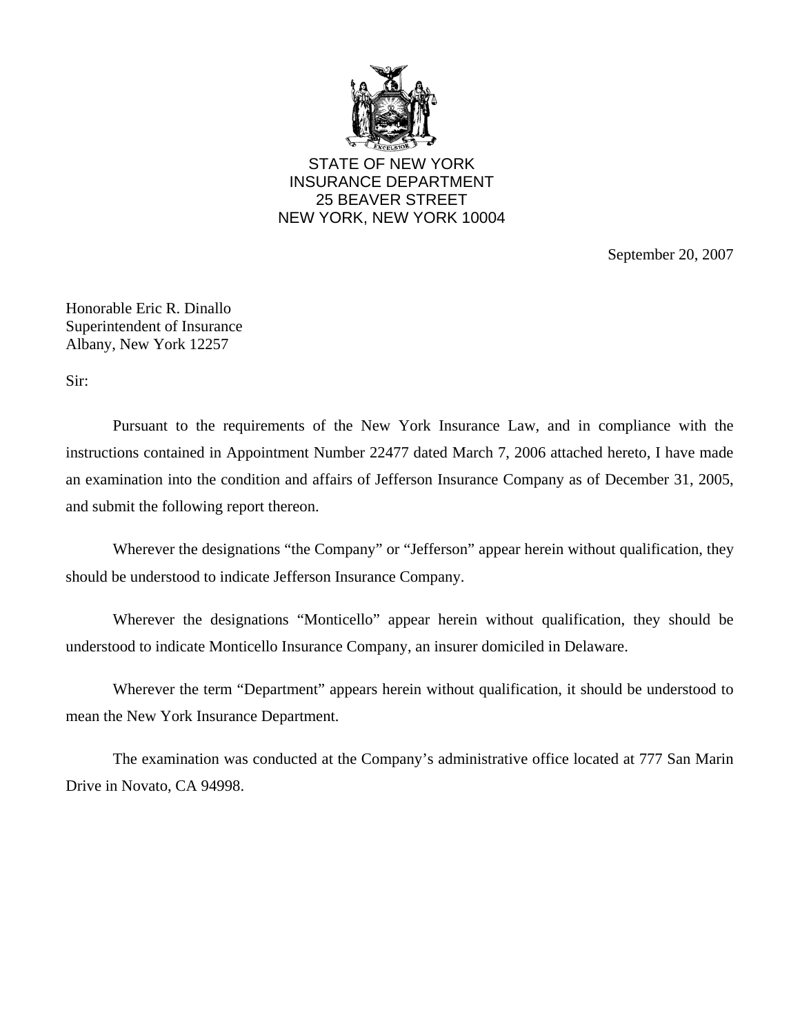

STATE OF NEW YORK INSURANCE DEPARTMENT 25 BEAVER STREET NEW YORK, NEW YORK 10004

September 20, 2007

Honorable Eric R. Dinallo Superintendent of Insurance Albany, New York 12257

Sir:

Pursuant to the requirements of the New York Insurance Law, and in compliance with the instructions contained in Appointment Number 22477 dated March 7, 2006 attached hereto, I have made an examination into the condition and affairs of Jefferson Insurance Company as of December 31, 2005, and submit the following report thereon.

Wherever the designations "the Company" or "Jefferson" appear herein without qualification, they should be understood to indicate Jefferson Insurance Company.

Wherever the designations "Monticello" appear herein without qualification, they should be understood to indicate Monticello Insurance Company, an insurer domiciled in Delaware.

Wherever the term "Department" appears herein without qualification, it should be understood to mean the New York Insurance Department.

The examination was conducted at the Company's administrative office located at 777 San Marin Drive in Novato, CA 94998.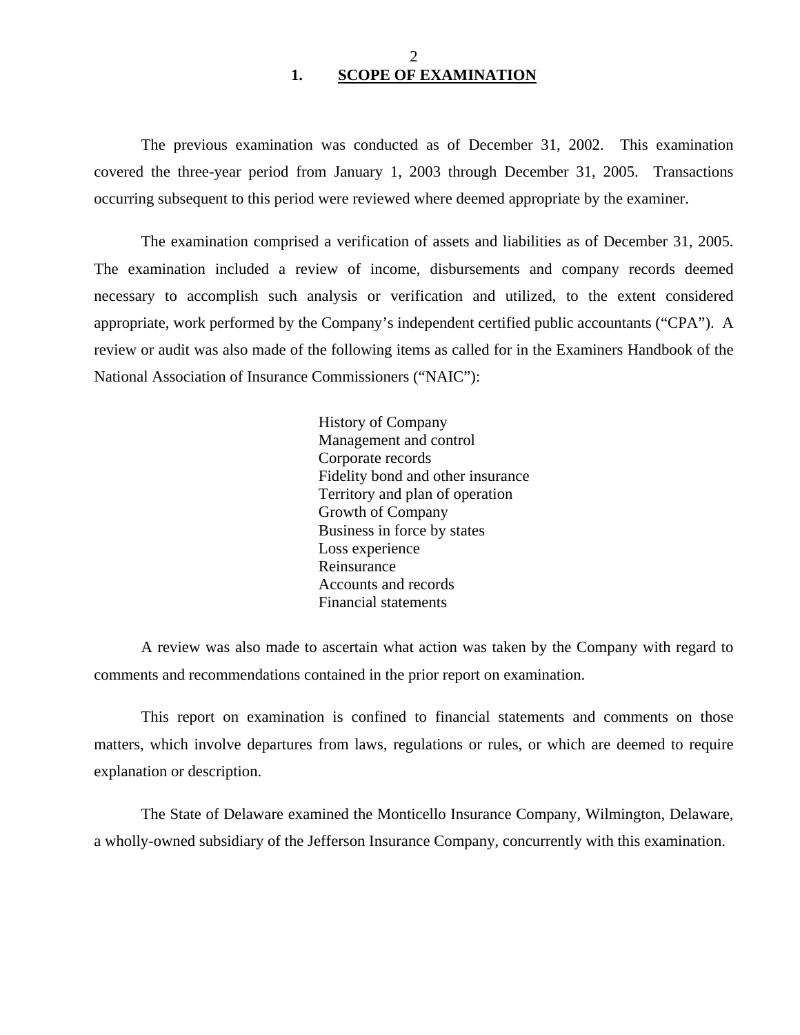#### 2 **1. SCOPE OF EXAMINATION**

<span id="page-3-0"></span>The previous examination was conducted as of December 31, 2002. This examination covered the three-year period from January 1, 2003 through December 31, 2005. Transactions occurring subsequent to this period were reviewed where deemed appropriate by the examiner.

The examination comprised a verification of assets and liabilities as of December 31, 2005. The examination included a review of income, disbursements and company records deemed necessary to accomplish such analysis or verification and utilized, to the extent considered appropriate, work performed by the Company's independent certified public accountants ("CPA"). A review or audit was also made of the following items as called for in the Examiners Handbook of the National Association of Insurance Commissioners ("NAIC"):

> History of Company Management and control Corporate records Fidelity bond and other insurance Territory and plan of operation Growth of Company Business in force by states Loss experience Reinsurance Accounts and records Financial statements

A review was also made to ascertain what action was taken by the Company with regard to comments and recommendations contained in the prior report on examination.

This report on examination is confined to financial statements and comments on those matters, which involve departures from laws, regulations or rules, or which are deemed to require explanation or description.

The State of Delaware examined the Monticello Insurance Company, Wilmington, Delaware, a wholly-owned subsidiary of the Jefferson Insurance Company, concurrently with this examination.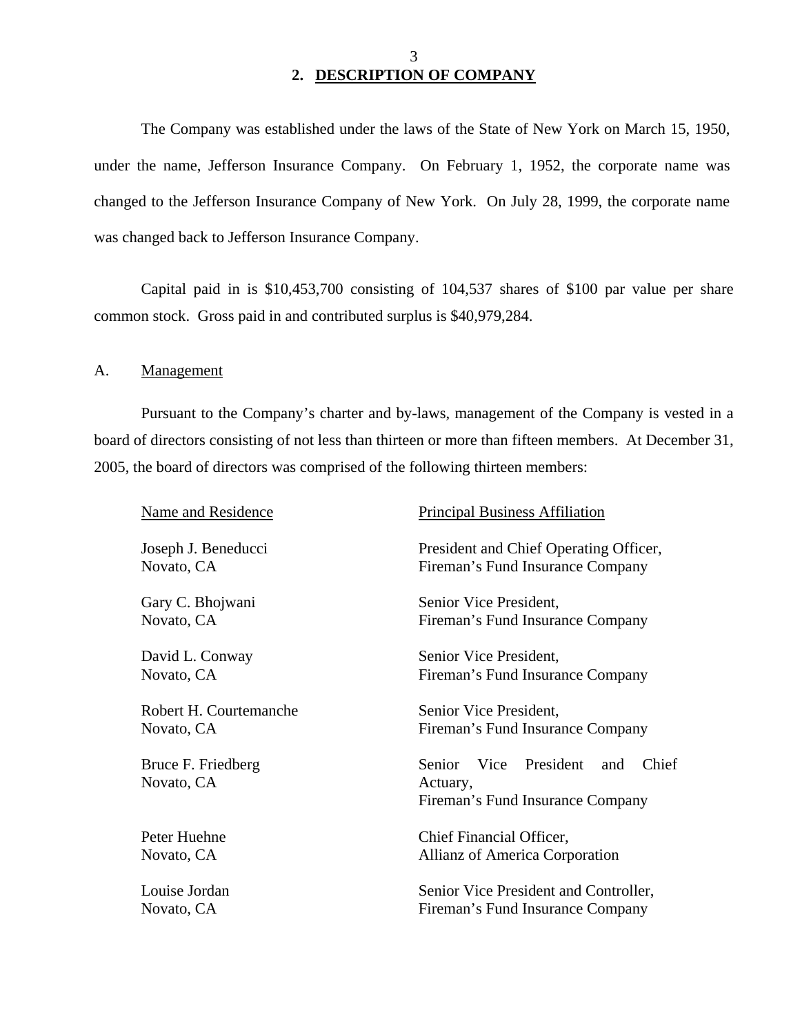### 3 **2. DESCRIPTION OF COMPANY**

The Company was established under the laws of the State of New York on March 15, 1950, under the name, Jefferson Insurance Company. On February 1, 1952, the corporate name was changed to the Jefferson Insurance Company of New York. On July 28, 1999, the corporate name was changed back to Jefferson Insurance Company.

Capital paid in is \$10,453,700 consisting of 104,537 shares of \$100 par value per share common stock. Gross paid in and contributed surplus is \$40,979,284.

A. Management

Pursuant to the Company's charter and by-laws, management of the Company is vested in a board of directors consisting of not less than thirteen or more than fifteen members. At December 31, 2005, the board of directors was comprised of the following thirteen members:

| <b>Name and Residence</b>        | <b>Principal Business Affiliation</b>                                                    |  |  |  |
|----------------------------------|------------------------------------------------------------------------------------------|--|--|--|
| Joseph J. Beneducci              | President and Chief Operating Officer,                                                   |  |  |  |
| Novato, CA                       | Fireman's Fund Insurance Company                                                         |  |  |  |
| Gary C. Bhojwani                 | Senior Vice President,                                                                   |  |  |  |
| Novato, CA                       | Fireman's Fund Insurance Company                                                         |  |  |  |
| David L. Conway                  | Senior Vice President,                                                                   |  |  |  |
| Novato, CA                       | Fireman's Fund Insurance Company                                                         |  |  |  |
| Robert H. Courtemanche           | Senior Vice President,                                                                   |  |  |  |
| Novato, CA                       | Fireman's Fund Insurance Company                                                         |  |  |  |
| Bruce F. Friedberg<br>Novato, CA | Vice President<br>Chief<br>Senior<br>and<br>Actuary,<br>Fireman's Fund Insurance Company |  |  |  |
| Peter Huehne                     | Chief Financial Officer,                                                                 |  |  |  |
| Novato, CA                       | Allianz of America Corporation                                                           |  |  |  |
| Louise Jordan                    | Senior Vice President and Controller,                                                    |  |  |  |
| Novato, CA                       | Fireman's Fund Insurance Company                                                         |  |  |  |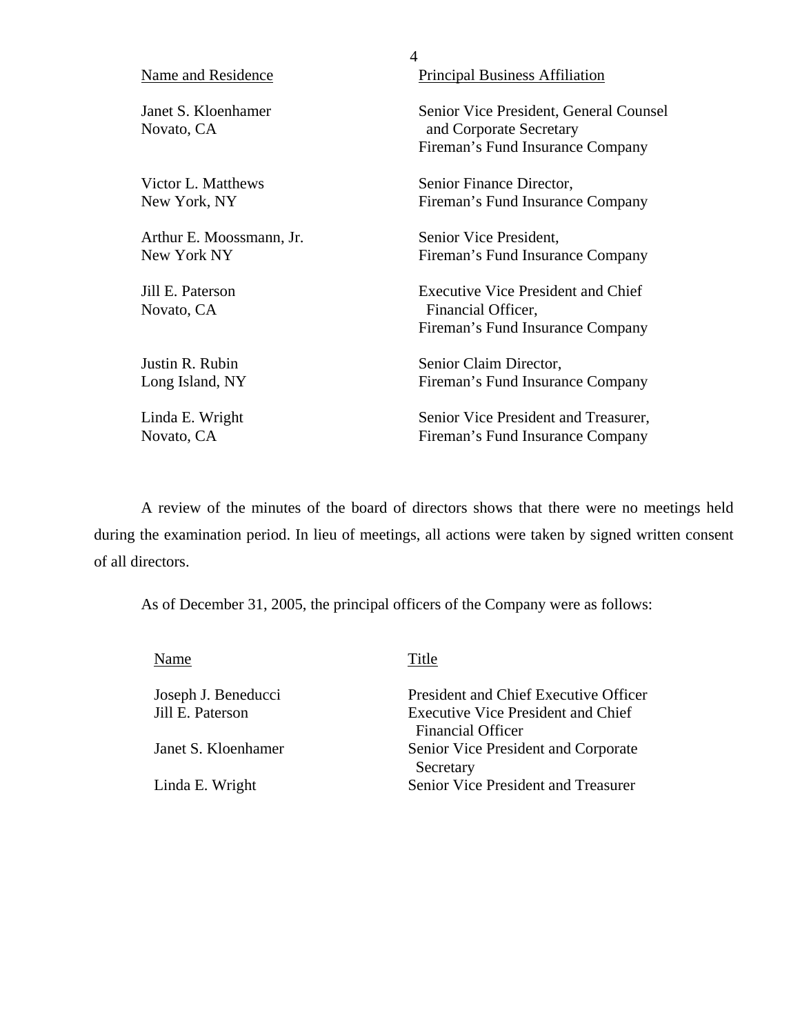|                                   | 4                                                                                                     |
|-----------------------------------|-------------------------------------------------------------------------------------------------------|
| Name and Residence                | <b>Principal Business Affiliation</b>                                                                 |
| Janet S. Kloenhamer<br>Novato, CA | Senior Vice President, General Counsel<br>and Corporate Secretary<br>Fireman's Fund Insurance Company |
| Victor L. Matthews                | Senior Finance Director,                                                                              |
| New York, NY                      | Fireman's Fund Insurance Company                                                                      |
| Arthur E. Moossmann, Jr.          | Senior Vice President,                                                                                |
| New York NY                       | Fireman's Fund Insurance Company                                                                      |
| Jill E. Paterson<br>Novato, CA    | <b>Executive Vice President and Chief</b><br>Financial Officer,<br>Fireman's Fund Insurance Company   |
| Justin R. Rubin                   | Senior Claim Director,                                                                                |
| Long Island, NY                   | Fireman's Fund Insurance Company                                                                      |
| Linda E. Wright                   | Senior Vice President and Treasurer,                                                                  |
| Novato, CA                        | Fireman's Fund Insurance Company                                                                      |

A review of the minutes of the board of directors shows that there were no meetings held during the examination period. In lieu of meetings, all actions were taken by signed written consent of all directors.

As of December 31, 2005, the principal officers of the Company were as follows:

| Name                | Title                                                                 |
|---------------------|-----------------------------------------------------------------------|
| Joseph J. Beneducci | <b>President and Chief Executive Officer</b>                          |
| Jill E. Paterson    | <b>Executive Vice President and Chief</b><br><b>Financial Officer</b> |
| Janet S. Kloenhamer | Senior Vice President and Corporate<br>Secretary                      |
| Linda E. Wright     | Senior Vice President and Treasurer                                   |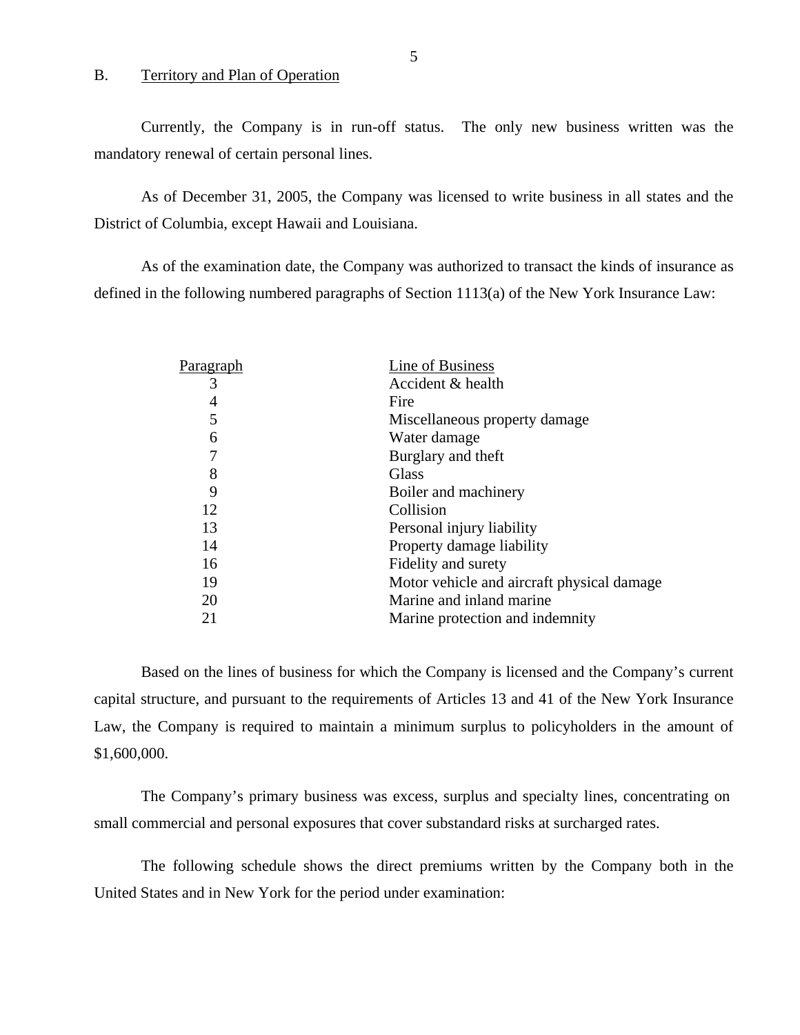#### B. Territory and Plan of Operation

Currently, the Company is in run-off status. The only new business written was the mandatory renewal of certain personal lines.

As of December 31, 2005, the Company was licensed to write business in all states and the District of Columbia, except Hawaii and Louisiana.

As of the examination date, the Company was authorized to transact the kinds of insurance as defined in the following numbered paragraphs of Section 1113(a) of the New York Insurance Law:

| Paragraph | Line of Business                           |
|-----------|--------------------------------------------|
| 3         | Accident & health                          |
| 4         | Fire                                       |
| 5         | Miscellaneous property damage              |
| 6         | Water damage                               |
| 7         | Burglary and theft                         |
| 8         | Glass                                      |
| 9         | Boiler and machinery                       |
| 12        | Collision                                  |
| 13        | Personal injury liability                  |
| 14        | Property damage liability                  |
| 16        | Fidelity and surety                        |
| 19        | Motor vehicle and aircraft physical damage |
| 20        | Marine and inland marine                   |
| 21        | Marine protection and indemnity            |
|           |                                            |

Based on the lines of business for which the Company is licensed and the Company's current capital structure, and pursuant to the requirements of Articles 13 and 41 of the New York Insurance Law, the Company is required to maintain a minimum surplus to policyholders in the amount of \$1,600,000.

The Company's primary business was excess, surplus and specialty lines, concentrating on small commercial and personal exposures that cover substandard risks at surcharged rates.

The following schedule shows the direct premiums written by the Company both in the United States and in New York for the period under examination: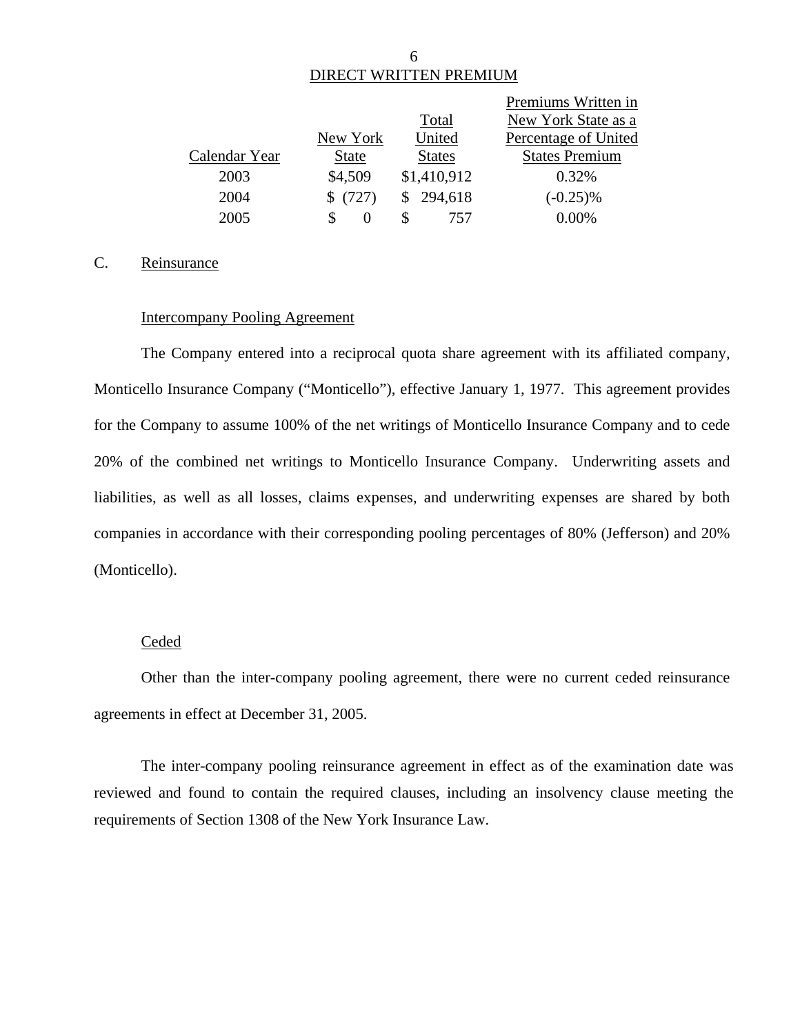# DIRECT WRITTEN PREMIUM

|               |              |               | Premiums Written in   |
|---------------|--------------|---------------|-----------------------|
|               |              | Total         | New York State as a   |
|               | New York     | United        | Percentage of United  |
| Calendar Year | <b>State</b> | <b>States</b> | <b>States Premium</b> |
| 2003          | \$4,509      | \$1,410,912   | 0.32%                 |
| 2004          | (727)        | \$294,618     | $(-0.25)\%$           |
| 2005          |              | 757           | $0.00\%$              |

#### C. Reinsurance

#### Intercompany Pooling Agreement

The Company entered into a reciprocal quota share agreement with its affiliated company, Monticello Insurance Company ("Monticello"), effective January 1, 1977. This agreement provides for the Company to assume 100% of the net writings of Monticello Insurance Company and to cede 20% of the combined net writings to Monticello Insurance Company. Underwriting assets and liabilities, as well as all losses, claims expenses, and underwriting expenses are shared by both companies in accordance with their corresponding pooling percentages of 80% (Jefferson) and 20% (Monticello).

#### **Ceded**

Other than the inter-company pooling agreement, there were no current ceded reinsurance agreements in effect at December 31, 2005.

The inter-company pooling reinsurance agreement in effect as of the examination date was reviewed and found to contain the required clauses, including an insolvency clause meeting the requirements of Section 1308 of the New York Insurance Law.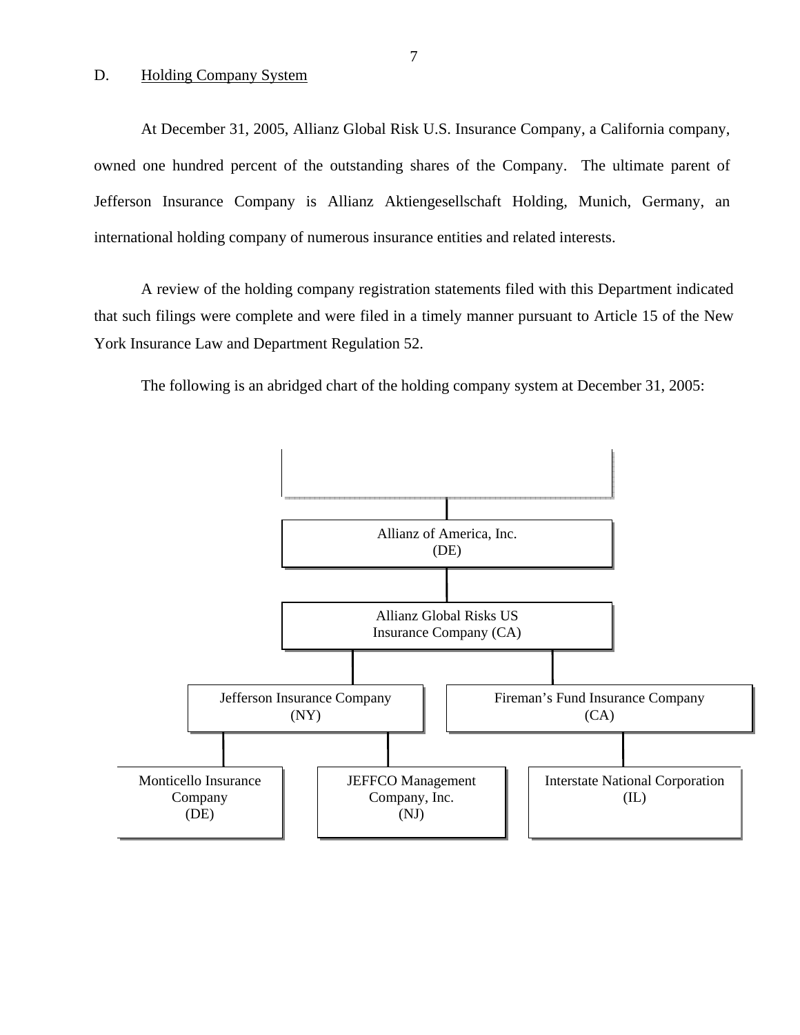#### D. Holding Company System

At December 31, 2005, Allianz Global Risk U.S. Insurance Company, a California company, owned one hundred percent of the outstanding shares of the Company. The ultimate parent of Jefferson Insurance Company is Allianz Aktiengesellschaft Holding, Munich, Germany, an international holding company of numerous insurance entities and related interests.

A review of the holding company registration statements filed with this Department indicated that such filings were complete and were filed in a timely manner pursuant to Article 15 of the New York Insurance Law and Department Regulation 52.

The following is an abridged chart of the holding company system at December 31, 2005:

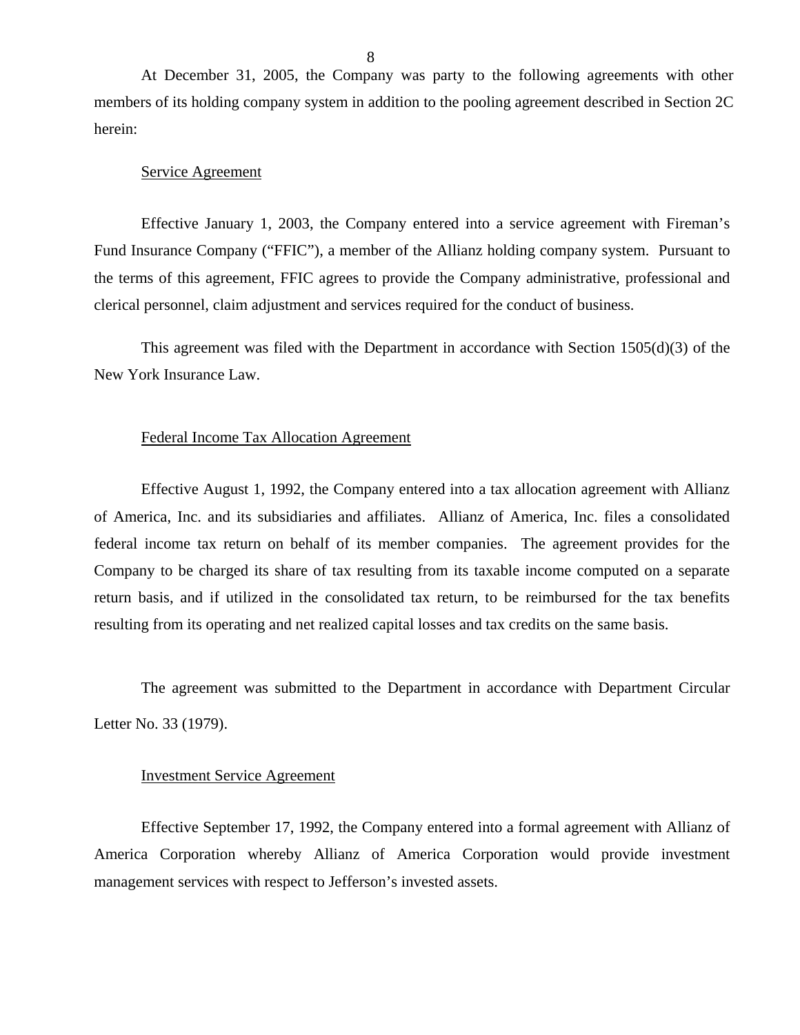At December 31, 2005, the Company was party to the following agreements with other members of its holding company system in addition to the pooling agreement described in Section 2C herein:

#### Service Agreement

Effective January 1, 2003, the Company entered into a service agreement with Fireman's Fund Insurance Company ("FFIC"), a member of the Allianz holding company system. Pursuant to the terms of this agreement, FFIC agrees to provide the Company administrative, professional and clerical personnel, claim adjustment and services required for the conduct of business.

This agreement was filed with the Department in accordance with Section 1505(d)(3) of the New York Insurance Law.

#### Federal Income Tax Allocation Agreement

Effective August 1, 1992, the Company entered into a tax allocation agreement with Allianz of America, Inc. and its subsidiaries and affiliates. Allianz of America, Inc. files a consolidated federal income tax return on behalf of its member companies. The agreement provides for the Company to be charged its share of tax resulting from its taxable income computed on a separate return basis, and if utilized in the consolidated tax return, to be reimbursed for the tax benefits resulting from its operating and net realized capital losses and tax credits on the same basis.

The agreement was submitted to the Department in accordance with Department Circular Letter No. 33 (1979).

#### Investment Service Agreement

Effective September 17, 1992, the Company entered into a formal agreement with Allianz of America Corporation whereby Allianz of America Corporation would provide investment management services with respect to Jefferson's invested assets.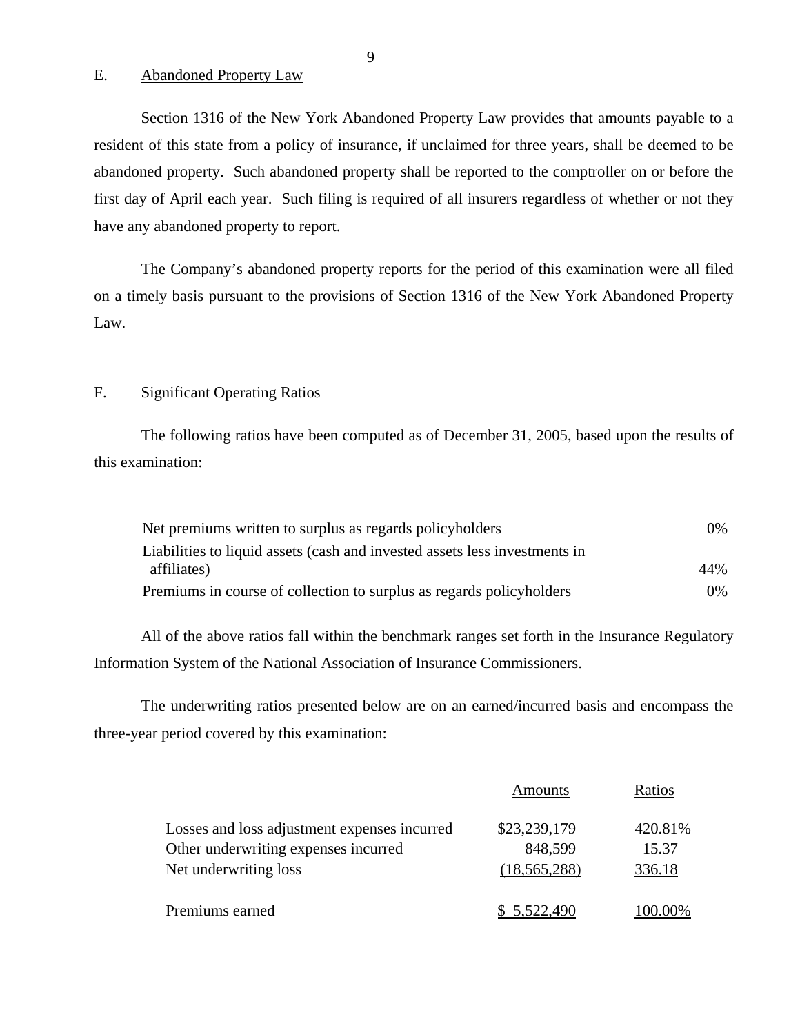E. Abandoned Property Law

Section 1316 of the New York Abandoned Property Law provides that amounts payable to a resident of this state from a policy of insurance, if unclaimed for three years, shall be deemed to be abandoned property. Such abandoned property shall be reported to the comptroller on or before the first day of April each year. Such filing is required of all insurers regardless of whether or not they have any abandoned property to report.

The Company's abandoned property reports for the period of this examination were all filed on a timely basis pursuant to the provisions of Section 1316 of the New York Abandoned Property Law.

#### F. Significant Operating Ratios

The following ratios have been computed as of December 31, 2005, based upon the results of this examination:

| Net premiums written to surplus as regards policyholders                   | $0\%$ |
|----------------------------------------------------------------------------|-------|
| Liabilities to liquid assets (cash and invested assets less investments in |       |
| affiliates)                                                                | 44%   |
| Premiums in course of collection to surplus as regards policyholders       | $0\%$ |

All of the above ratios fall within the benchmark ranges set forth in the Insurance Regulatory Information System of the National Association of Insurance Commissioners.

The underwriting ratios presented below are on an earned/incurred basis and encompass the three-year period covered by this examination:

|                                              | Amounts        | Ratios  |
|----------------------------------------------|----------------|---------|
| Losses and loss adjustment expenses incurred | \$23,239,179   | 420.81% |
| Other underwriting expenses incurred         | 848,599        | 15.37   |
| Net underwriting loss                        | (18, 565, 288) | 336.18  |
| Premiums earned                              | \$ 5,522,490   | 100.00% |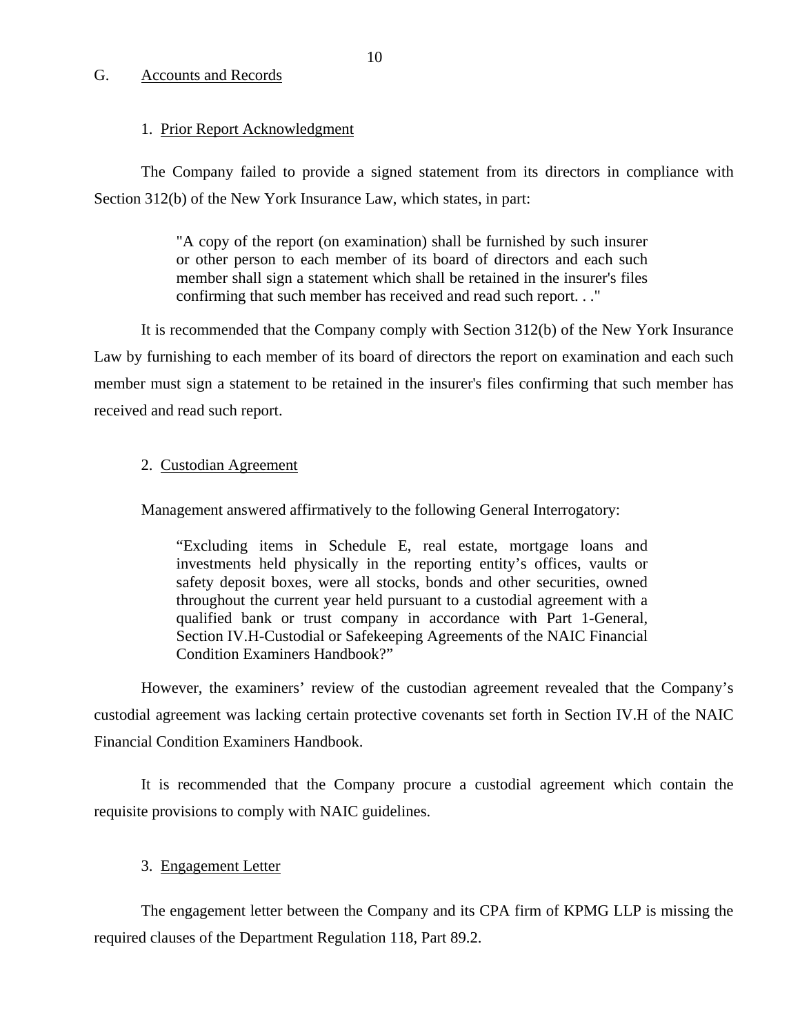#### <span id="page-11-0"></span>G. Accounts and Records

#### 1. Prior Report Acknowledgment

The Company failed to provide a signed statement from its directors in compliance with Section 312(b) of the New York Insurance Law, which states, in part:

> "A copy of the report (on examination) shall be furnished by such insurer or other person to each member of its board of directors and each such member shall sign a statement which shall be retained in the insurer's files confirming that such member has received and read such report. . ."

It is recommended that the Company comply with Section 312(b) of the New York Insurance Law by furnishing to each member of its board of directors the report on examination and each such member must sign a statement to be retained in the insurer's files confirming that such member has received and read such report.

#### 2. Custodian Agreement

Management answered affirmatively to the following General Interrogatory:

"Excluding items in Schedule E, real estate, mortgage loans and investments held physically in the reporting entity's offices, vaults or safety deposit boxes, were all stocks, bonds and other securities, owned throughout the current year held pursuant to a custodial agreement with a qualified bank or trust company in accordance with Part 1-General, Section IV.H-Custodial or Safekeeping Agreements of the NAIC Financial Condition Examiners Handbook?"

However, the examiners' review of the custodian agreement revealed that the Company's custodial agreement was lacking certain protective covenants set forth in Section IV.H of the NAIC Financial Condition Examiners Handbook.

It is recommended that the Company procure a custodial agreement which contain the requisite provisions to comply with NAIC guidelines.

#### 3. Engagement Letter

The engagement letter between the Company and its CPA firm of KPMG LLP is missing the required clauses of the Department Regulation 118, Part 89.2.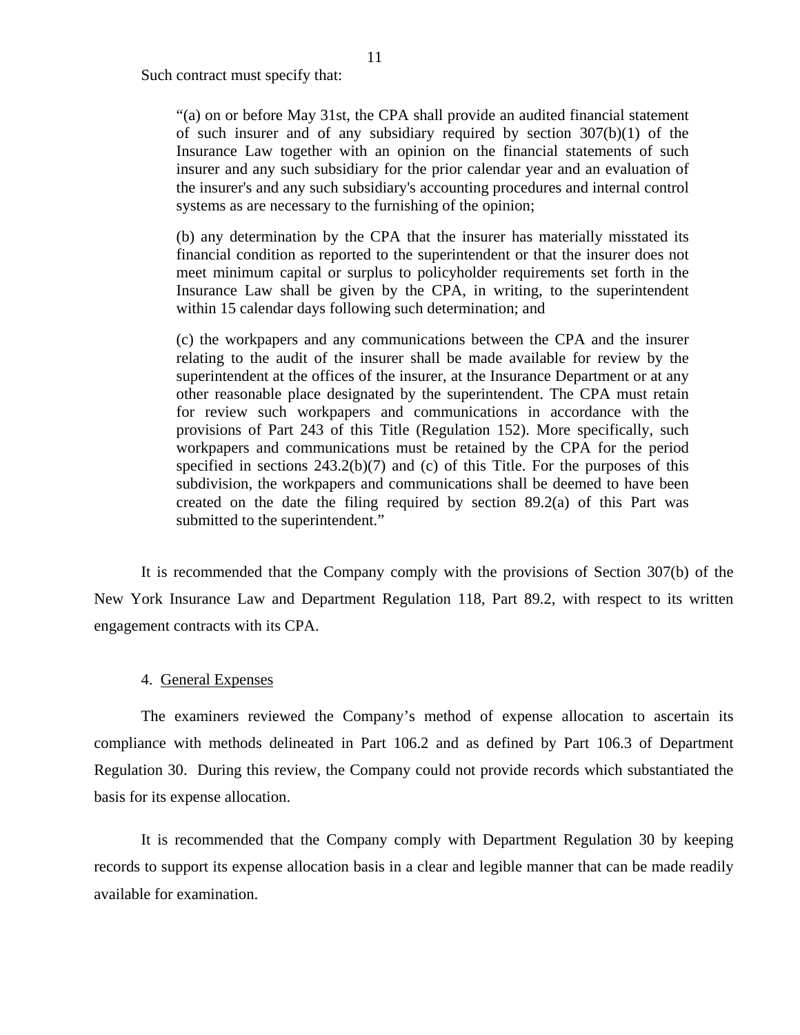Such contract must specify that:

"(a) on or before May 31st, the CPA shall provide an audited financial statement of such insurer and of any subsidiary required by section  $307(b)(1)$  of the Insurance Law together with an opinion on the financial statements of such insurer and any such subsidiary for the prior calendar year and an evaluation of the insurer's and any such subsidiary's accounting procedures and internal control systems as are necessary to the furnishing of the opinion;

(b) any determination by the CPA that the insurer has materially misstated its financial condition as reported to the superintendent or that the insurer does not meet minimum capital or surplus to policyholder requirements set forth in the Insurance Law shall be given by the CPA, in writing, to the superintendent within 15 calendar days following such determination; and

(c) the workpapers and any communications between the CPA and the insurer relating to the audit of the insurer shall be made available for review by the superintendent at the offices of the insurer, at the Insurance Department or at any other reasonable place designated by the superintendent. The CPA must retain for review such workpapers and communications in accordance with the provisions of Part 243 of this Title (Regulation 152). More specifically, such workpapers and communications must be retained by the CPA for the period specified in sections  $243.2(b)(7)$  and (c) of this Title. For the purposes of this subdivision, the workpapers and communications shall be deemed to have been created on the date the filing required by section 89.2(a) of this Part was submitted to the superintendent."

It is recommended that the Company comply with the provisions of Section 307(b) of the New York Insurance Law and Department Regulation 118, Part 89.2, with respect to its written engagement contracts with its CPA.

#### 4. General Expenses

The examiners reviewed the Company's method of expense allocation to ascertain its compliance with methods delineated in Part 106.2 and as defined by Part 106.3 of Department Regulation 30. During this review, the Company could not provide records which substantiated the basis for its expense allocation.

It is recommended that the Company comply with Department Regulation 30 by keeping records to support its expense allocation basis in a clear and legible manner that can be made readily available for examination.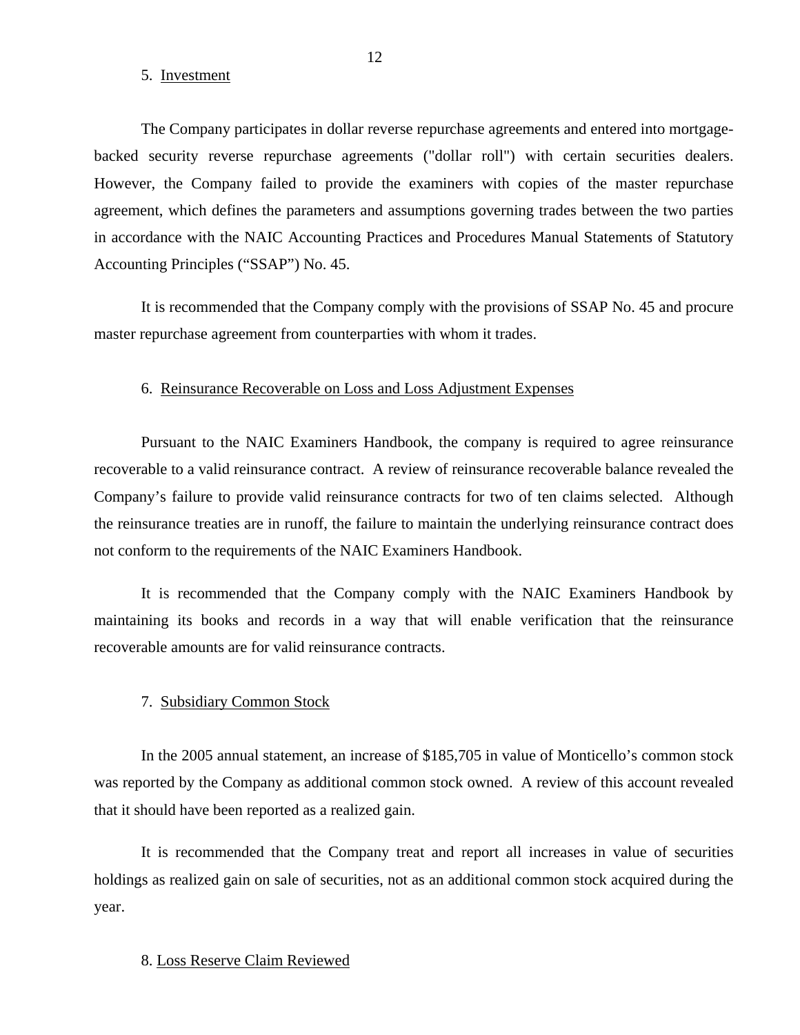#### 5. Investment

The Company participates in dollar reverse repurchase agreements and entered into mortgagebacked security reverse repurchase agreements ("dollar roll") with certain securities dealers. However, the Company failed to provide the examiners with copies of the master repurchase agreement, which defines the parameters and assumptions governing trades between the two parties in accordance with the NAIC Accounting Practices and Procedures Manual Statements of Statutory Accounting Principles ("SSAP") No. 45.

It is recommended that the Company comply with the provisions of SSAP No. 45 and procure master repurchase agreement from counterparties with whom it trades.

#### 6. Reinsurance Recoverable on Loss and Loss Adjustment Expenses

Pursuant to the NAIC Examiners Handbook, the company is required to agree reinsurance recoverable to a valid reinsurance contract. A review of reinsurance recoverable balance revealed the Company's failure to provide valid reinsurance contracts for two of ten claims selected. Although the reinsurance treaties are in runoff, the failure to maintain the underlying reinsurance contract does not conform to the requirements of the NAIC Examiners Handbook.

It is recommended that the Company comply with the NAIC Examiners Handbook by maintaining its books and records in a way that will enable verification that the reinsurance recoverable amounts are for valid reinsurance contracts.

#### 7. Subsidiary Common Stock

In the 2005 annual statement, an increase of \$185,705 in value of Monticello's common stock was reported by the Company as additional common stock owned. A review of this account revealed that it should have been reported as a realized gain.

It is recommended that the Company treat and report all increases in value of securities holdings as realized gain on sale of securities, not as an additional common stock acquired during the year.

#### 8. Loss Reserve Claim Reviewed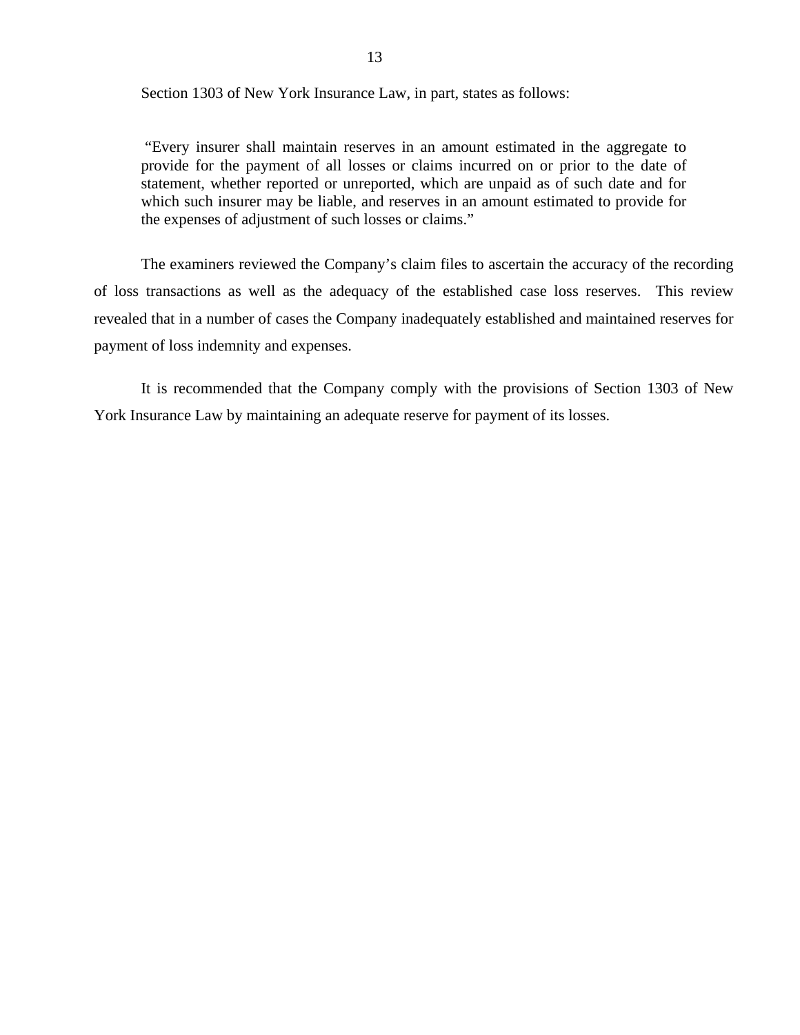Section 1303 of New York Insurance Law, in part, states as follows:

"Every insurer shall maintain reserves in an amount estimated in the aggregate to provide for the payment of all losses or claims incurred on or prior to the date of statement, whether reported or unreported, which are unpaid as of such date and for which such insurer may be liable, and reserves in an amount estimated to provide for the expenses of adjustment of such losses or claims."

The examiners reviewed the Company's claim files to ascertain the accuracy of the recording of loss transactions as well as the adequacy of the established case loss reserves. This review revealed that in a number of cases the Company inadequately established and maintained reserves for payment of loss indemnity and expenses.

It is recommended that the Company comply with the provisions of Section 1303 of New York Insurance Law by maintaining an adequate reserve for payment of its losses.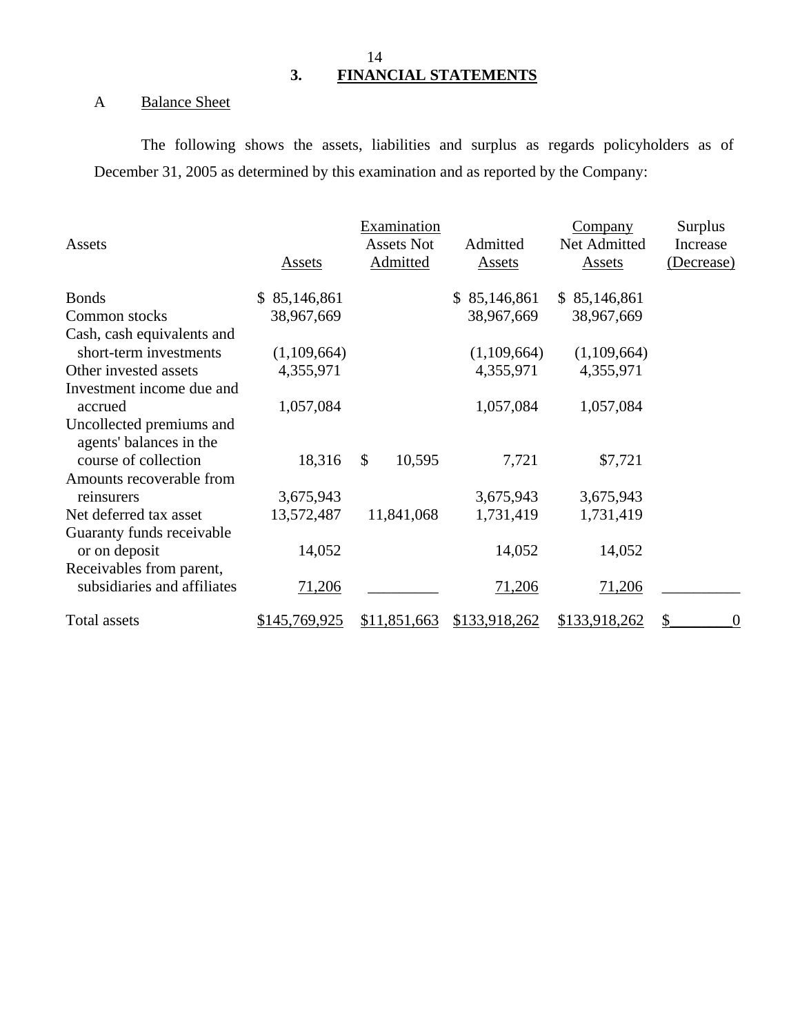## 14 **3. FINANCIAL STATEMENTS**

## <span id="page-15-0"></span>A Balance Sheet

The following shows the assets, liabilities and surplus as regards policyholders as of December 31, 2005 as determined by this examination and as reported by the Company:

|                                                     |               | Examination            |               | <b>Company</b> | Surplus                                     |
|-----------------------------------------------------|---------------|------------------------|---------------|----------------|---------------------------------------------|
| Assets                                              |               | <b>Assets Not</b>      | Admitted      | Net Admitted   | Increase                                    |
|                                                     | Assets        | Admitted               | Assets        | Assets         | (Decrease)                                  |
| <b>Bonds</b>                                        | \$85,146,861  |                        | \$85,146,861  | \$85,146,861   |                                             |
| Common stocks                                       | 38,967,669    |                        | 38,967,669    | 38,967,669     |                                             |
| Cash, cash equivalents and                          |               |                        |               |                |                                             |
| short-term investments                              | (1,109,664)   |                        | (1,109,664)   | (1,109,664)    |                                             |
| Other invested assets                               | 4,355,971     |                        | 4,355,971     | 4,355,971      |                                             |
| Investment income due and                           |               |                        |               |                |                                             |
| accrued                                             | 1,057,084     |                        | 1,057,084     | 1,057,084      |                                             |
| Uncollected premiums and<br>agents' balances in the |               |                        |               |                |                                             |
| course of collection                                | 18,316        | $\mathbb{S}$<br>10,595 | 7,721         | \$7,721        |                                             |
| Amounts recoverable from                            |               |                        |               |                |                                             |
| reinsurers                                          | 3,675,943     |                        | 3,675,943     | 3,675,943      |                                             |
| Net deferred tax asset                              | 13,572,487    | 11,841,068             | 1,731,419     | 1,731,419      |                                             |
| Guaranty funds receivable                           |               |                        |               |                |                                             |
| or on deposit                                       | 14,052        |                        | 14,052        | 14,052         |                                             |
| Receivables from parent,                            |               |                        |               |                |                                             |
| subsidiaries and affiliates                         | 71,206        |                        | 71,206        | 71,206         |                                             |
| Total assets                                        | \$145,769,925 | \$11,851,663           | \$133,918,262 | \$133,918,262  | $\boldsymbol{\mathsf{S}}$<br>$\overline{0}$ |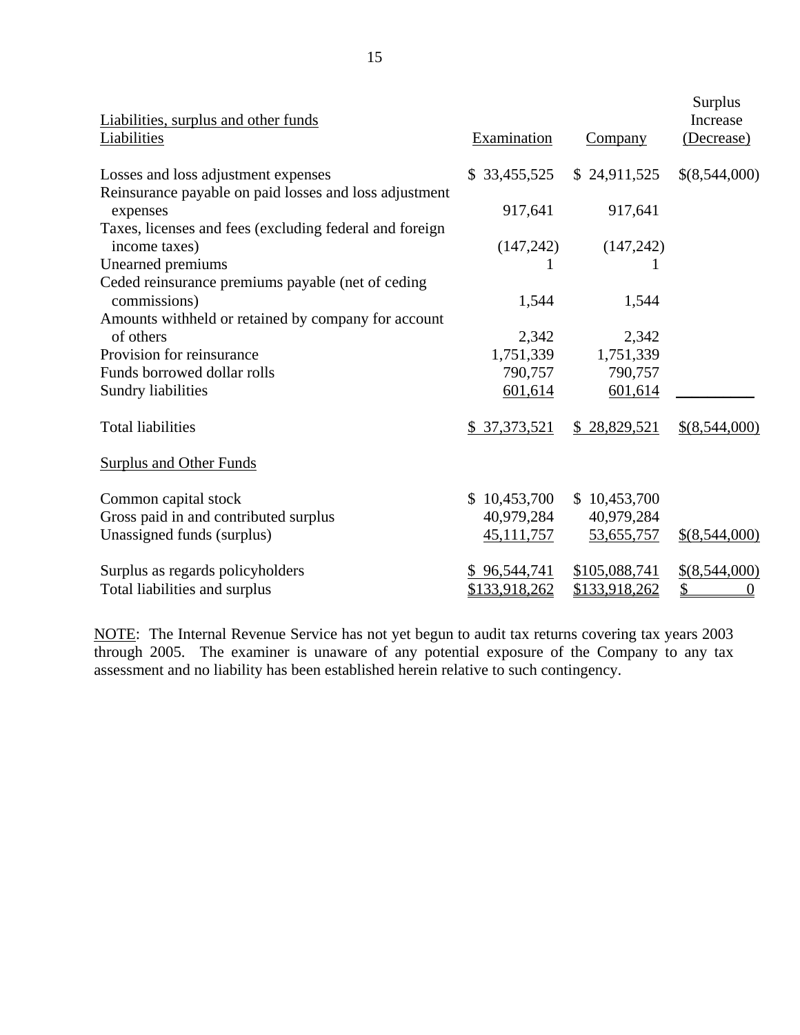| Liabilities, surplus and other funds<br><b>Liabilities</b>               | Examination   | <b>Company</b> | Surplus<br>Increase<br>(Decrease) |
|--------------------------------------------------------------------------|---------------|----------------|-----------------------------------|
| Losses and loss adjustment expenses                                      | \$33,455,525  | \$24,911,525   | \$(8,544,000)                     |
| Reinsurance payable on paid losses and loss adjustment<br>expenses       | 917,641       | 917,641        |                                   |
| Taxes, licenses and fees (excluding federal and foreign<br>income taxes) | (147, 242)    | (147, 242)     |                                   |
| Unearned premiums                                                        |               |                |                                   |
| Ceded reinsurance premiums payable (net of ceding<br>commissions)        | 1,544         | 1,544          |                                   |
| Amounts withheld or retained by company for account                      |               |                |                                   |
| of others                                                                | 2,342         | 2,342          |                                   |
| Provision for reinsurance                                                | 1,751,339     | 1,751,339      |                                   |
| Funds borrowed dollar rolls                                              | 790,757       | 790,757        |                                   |
| Sundry liabilities                                                       | 601,614       | 601,614        |                                   |
| <b>Total liabilities</b>                                                 | \$ 37,373,521 | \$28,829,521   | $$$ (8,544,000)                   |
| <b>Surplus and Other Funds</b>                                           |               |                |                                   |
| Common capital stock                                                     | \$10,453,700  | \$10,453,700   |                                   |
| Gross paid in and contributed surplus                                    | 40,979,284    | 40,979,284     |                                   |
| Unassigned funds (surplus)                                               | 45, 111, 757  | 53,655,757     | $$$ (8,544,000)                   |
| Surplus as regards policyholders                                         | \$96,544,741  | \$105,088,741  | $$$ (8,544,000)                   |
| Total liabilities and surplus                                            | \$133,918,262 | \$133,918,262  | \$<br>0                           |

NOTE: The Internal Revenue Service has not yet begun to audit tax returns covering tax years 2003 through 2005. The examiner is unaware of any potential exposure of the Company to any tax assessment and no liability has been established herein relative to such contingency.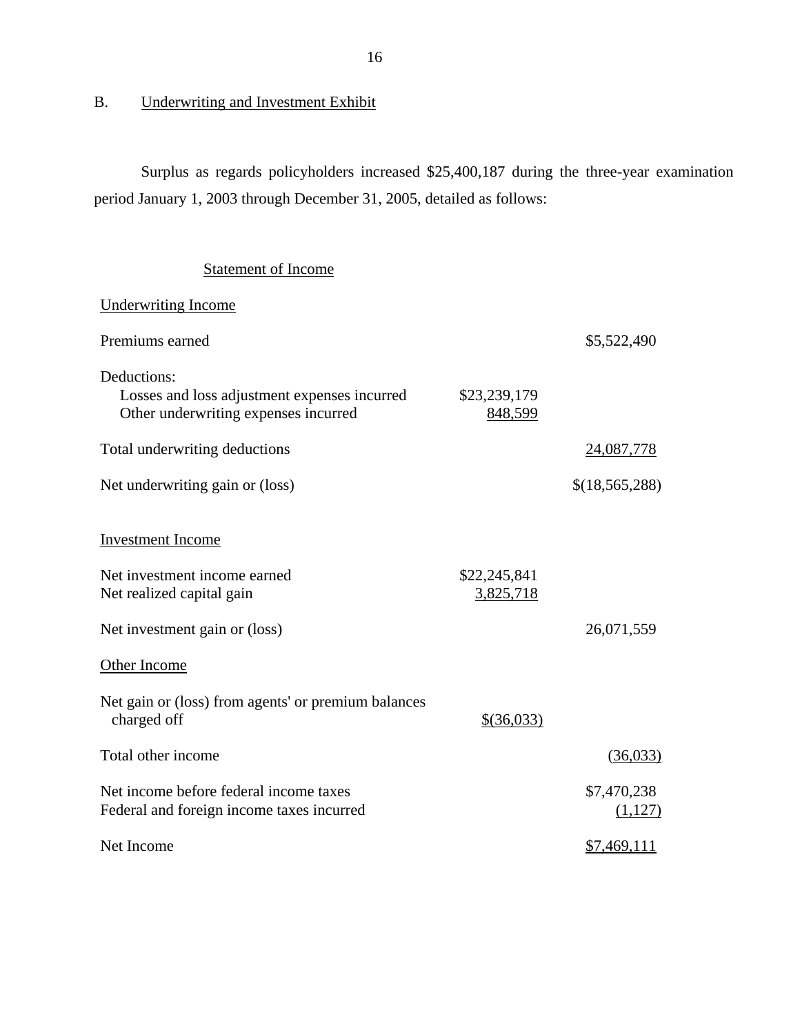## B. Underwriting and Investment Exhibit

Surplus as regards policyholders increased \$25,400,187 during the three-year examination period January 1, 2003 through December 31, 2005, detailed as follows:

## Statement of Income

| <b>Underwriting Income</b>                                                                          |                           |                        |
|-----------------------------------------------------------------------------------------------------|---------------------------|------------------------|
| Premiums earned                                                                                     |                           | \$5,522,490            |
| Deductions:<br>Losses and loss adjustment expenses incurred<br>Other underwriting expenses incurred | \$23,239,179<br>848,599   |                        |
| Total underwriting deductions                                                                       |                           | 24,087,778             |
| Net underwriting gain or (loss)                                                                     |                           | \$(18,565,288)         |
| <b>Investment Income</b>                                                                            |                           |                        |
| Net investment income earned<br>Net realized capital gain                                           | \$22,245,841<br>3,825,718 |                        |
| Net investment gain or (loss)                                                                       |                           | 26,071,559             |
| Other Income                                                                                        |                           |                        |
| Net gain or (loss) from agents' or premium balances<br>charged off                                  | \$(36,033)                |                        |
| Total other income                                                                                  |                           | (36,033)               |
| Net income before federal income taxes<br>Federal and foreign income taxes incurred                 |                           | \$7,470,238<br>(1,127) |
| Net Income                                                                                          |                           | \$7,469,111            |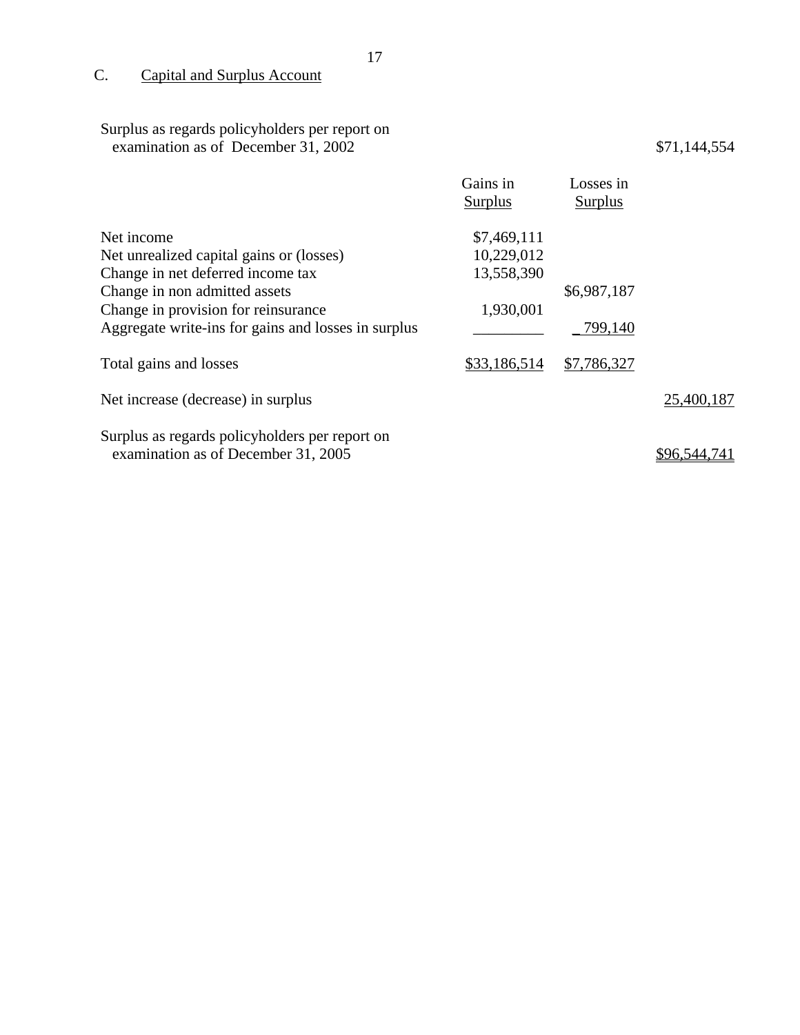C. Capital and Surplus Account

#### Surplus as regards policyholders per report on examination as of December 31, 2002 \$71,144,554

|                                                     | Gains in<br>Surplus | Losses in<br><b>Surplus</b> |              |
|-----------------------------------------------------|---------------------|-----------------------------|--------------|
| Net income                                          | \$7,469,111         |                             |              |
| Net unrealized capital gains or (losses)            | 10,229,012          |                             |              |
| Change in net deferred income tax                   | 13,558,390          |                             |              |
| Change in non admitted assets                       |                     | \$6,987,187                 |              |
| Change in provision for reinsurance                 | 1,930,001           |                             |              |
| Aggregate write-ins for gains and losses in surplus |                     | 799,140                     |              |
| Total gains and losses                              | \$33,186,514        | \$7,786,327                 |              |
| Net increase (decrease) in surplus                  |                     |                             | 25,400,187   |
| Surplus as regards policyholders per report on      |                     |                             |              |
| examination as of December 31, 2005                 |                     |                             | \$96.544.741 |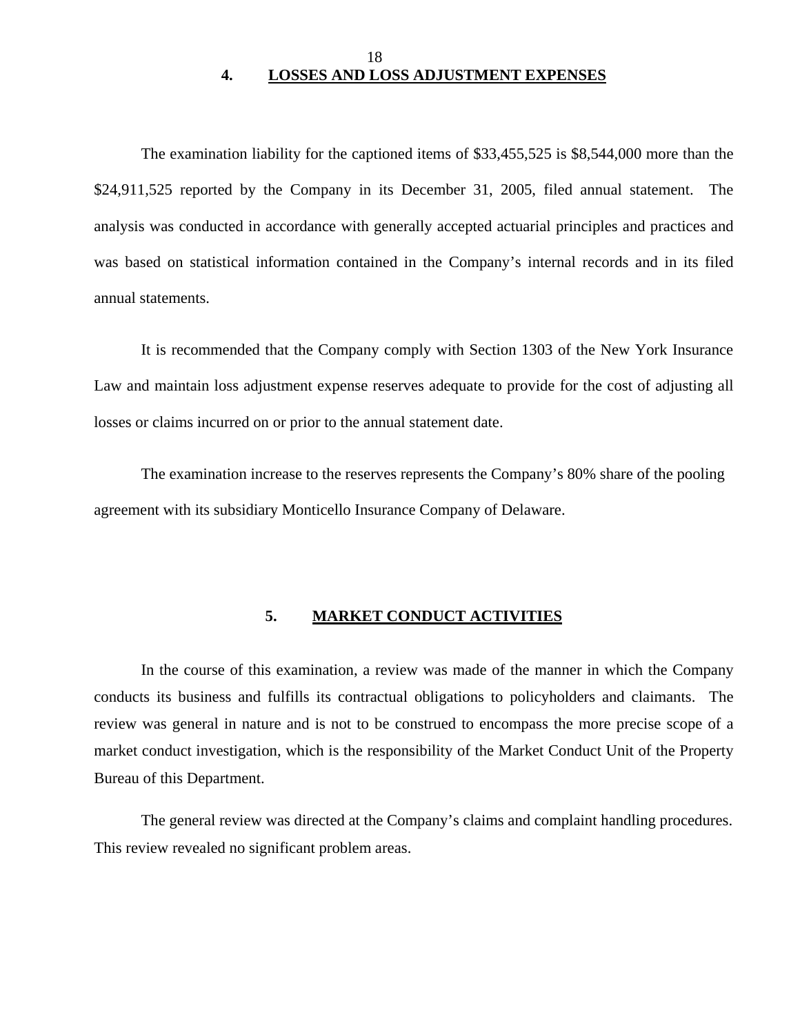### 18 **4. LOSSES AND LOSS ADJUSTMENT EXPENSES**

<span id="page-19-0"></span>The examination liability for the captioned items of \$33,455,525 is \$8,544,000 more than the \$24,911,525 reported by the Company in its December 31, 2005, filed annual statement. The analysis was conducted in accordance with generally accepted actuarial principles and practices and was based on statistical information contained in the Company's internal records and in its filed annual statements.

It is recommended that the Company comply with Section 1303 of the New York Insurance Law and maintain loss adjustment expense reserves adequate to provide for the cost of adjusting all losses or claims incurred on or prior to the annual statement date.

The examination increase to the reserves represents the Company's 80% share of the pooling agreement with its subsidiary Monticello Insurance Company of Delaware.

#### **5. MARKET CONDUCT ACTIVITIES**

In the course of this examination, a review was made of the manner in which the Company conducts its business and fulfills its contractual obligations to policyholders and claimants. The review was general in nature and is not to be construed to encompass the more precise scope of a market conduct investigation, which is the responsibility of the Market Conduct Unit of the Property Bureau of this Department.

The general review was directed at the Company's claims and complaint handling procedures. This review revealed no significant problem areas.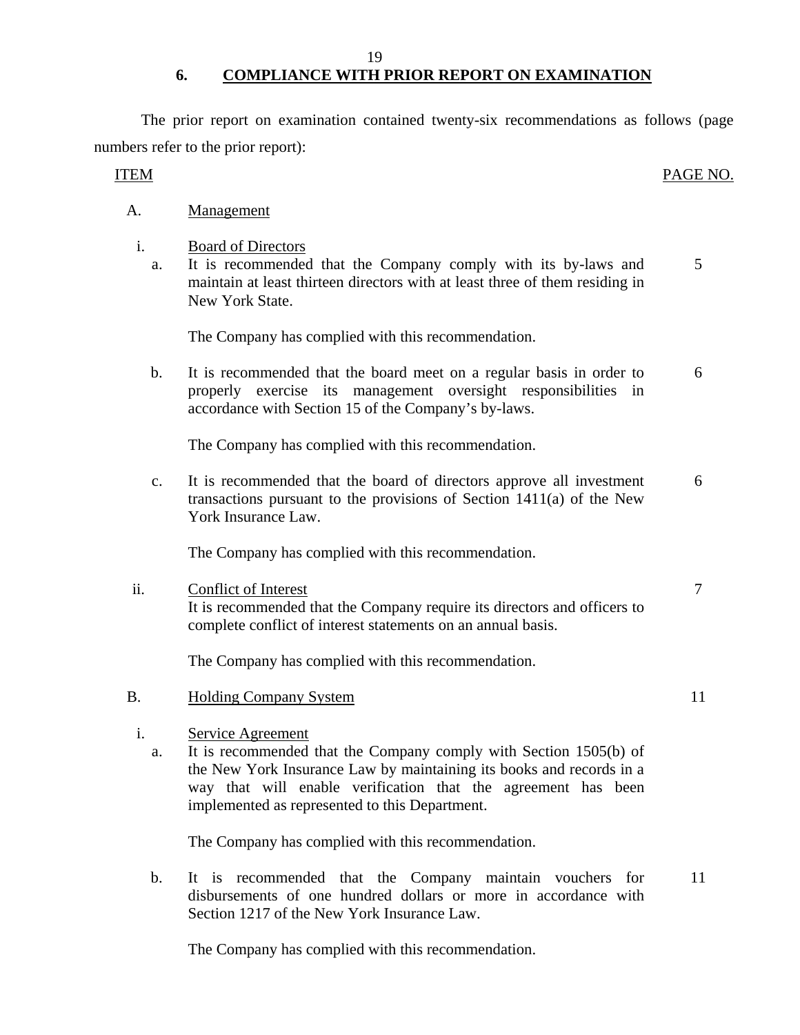19

## **6. COMPLIANCE WITH PRIOR REPORT ON EXAMINATION**

<span id="page-20-0"></span>The prior report on examination contained twenty-six recommendations as follows (page numbers refer to the prior report):

### ITEM PAGE NO.

| Α. | Management |
|----|------------|
|    |            |

- i. Board of Directors
	- a. It is recommended that the Company comply with its by-laws and maintain at least thirteen directors with at least three of them residing in New York State. 5

The Company has complied with this recommendation.

b. It is recommended that the board meet on a regular basis in order to properly exercise its management oversight responsibilities in accordance with Section 15 of the Company's by-laws. 6

The Company has complied with this recommendation.

c. It is recommended that the board of directors approve all investment transactions pursuant to the provisions of Section 1411(a) of the New York Insurance Law. 6

The Company has complied with this recommendation.

| ii. | Conflict of Interest                                                     |  |
|-----|--------------------------------------------------------------------------|--|
|     | It is recommended that the Company require its directors and officers to |  |
|     | complete conflict of interest statements on an annual basis.             |  |
|     |                                                                          |  |

The Company has complied with this recommendation.

- B. Holding Company System 11
	- i. Service Agreement
		- a. It is recommended that the Company comply with Section 1505(b) of the New York Insurance Law by maintaining its books and records in a way that will enable verification that the agreement has been implemented as represented to this Department.

The Company has complied with this recommendation.

b. It is recommended that the Company maintain vouchers for disbursements of one hundred dollars or more in accordance with Section 1217 of the New York Insurance Law. 11

The Company has complied with this recommendation.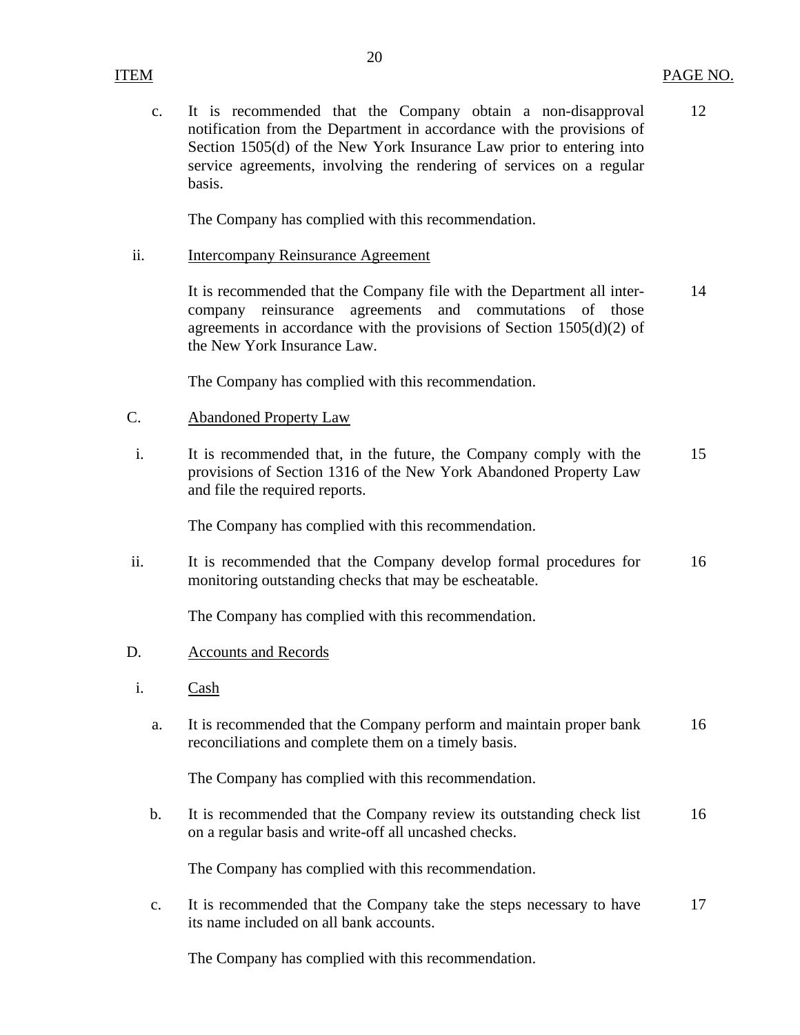c. It is recommended that the Company obtain a non-disapproval 12 notification from the Department in accordance with the provisions of Section 1505(d) of the New York Insurance Law prior to entering into service agreements, involving the rendering of services on a regular basis.

The Company has complied with this recommendation.

ii. Intercompany Reinsurance Agreement

It is recommended that the Company file with the Department all inter- 14 company reinsurance agreements and commutations of those agreements in accordance with the provisions of Section  $1505(d)(2)$  of the New York Insurance Law.

The Company has complied with this recommendation.

- C. Abandoned Property Law
- i. It is recommended that, in the future, the Company comply with the 15 provisions of Section 1316 of the New York Abandoned Property Law and file the required reports.

The Company has complied with this recommendation.

ii. It is recommended that the Company develop formal procedures for 16 monitoring outstanding checks that may be escheatable.

The Company has complied with this recommendation.

- D. Accounts and Records
- i. Cash
	- a. It is recommended that the Company perform and maintain proper bank 16 reconciliations and complete them on a timely basis.

The Company has complied with this recommendation.

b. It is recommended that the Company review its outstanding check list 16 on a regular basis and write-off all uncashed checks.

The Company has complied with this recommendation.

c. It is recommended that the Company take the steps necessary to have 17 its name included on all bank accounts.

The Company has complied with this recommendation.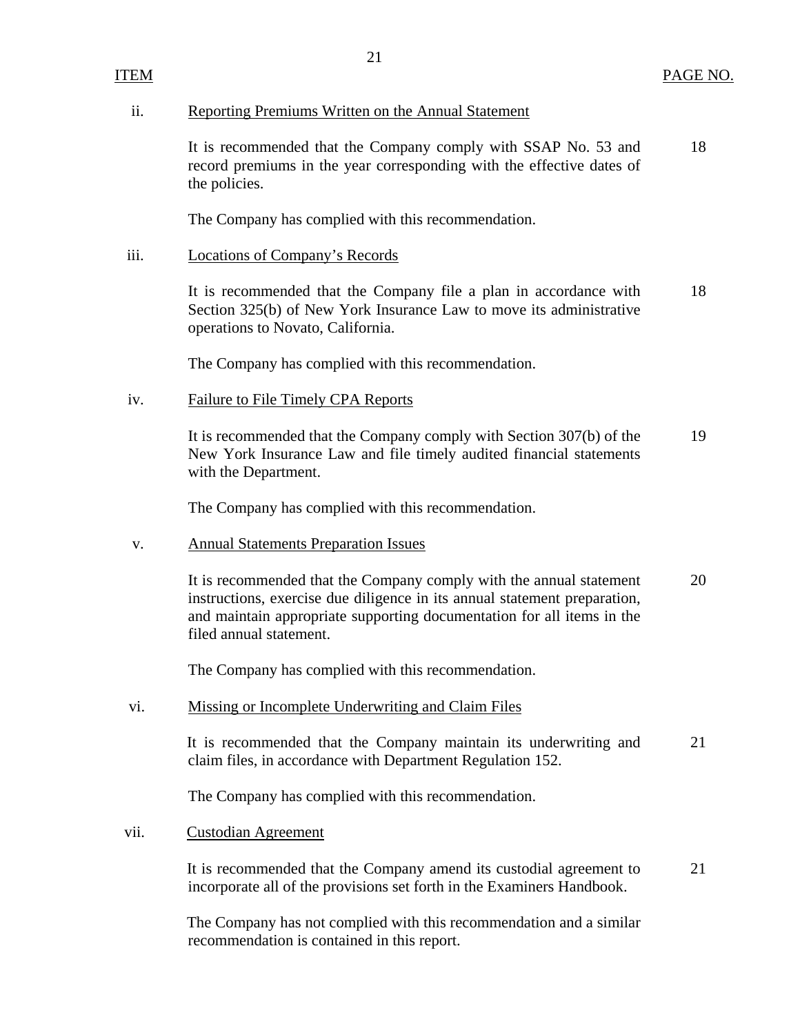#### ii. Reporting Premiums Written on the Annual Statement

It is recommended that the Company comply with SSAP No. 53 and 18 record premiums in the year corresponding with the effective dates of the policies.

The Company has complied with this recommendation.

#### iii. Locations of Company's Records

It is recommended that the Company file a plan in accordance with 18 Section 325(b) of New York Insurance Law to move its administrative operations to Novato, California.

The Company has complied with this recommendation.

#### iv. Failure to File Timely CPA Reports

It is recommended that the Company comply with Section 307(b) of the 19 New York Insurance Law and file timely audited financial statements with the Department.

The Company has complied with this recommendation.

#### v. Annual Statements Preparation Issues

It is recommended that the Company comply with the annual statement 20 instructions, exercise due diligence in its annual statement preparation, and maintain appropriate supporting documentation for all items in the filed annual statement.

The Company has complied with this recommendation.

#### vi. Missing or Incomplete Underwriting and Claim Files

It is recommended that the Company maintain its underwriting and 21 claim files, in accordance with Department Regulation 152.

The Company has complied with this recommendation.

#### vii. Custodian Agreement

It is recommended that the Company amend its custodial agreement to 21 incorporate all of the provisions set forth in the Examiners Handbook.

The Company has not complied with this recommendation and a similar recommendation is contained in this report.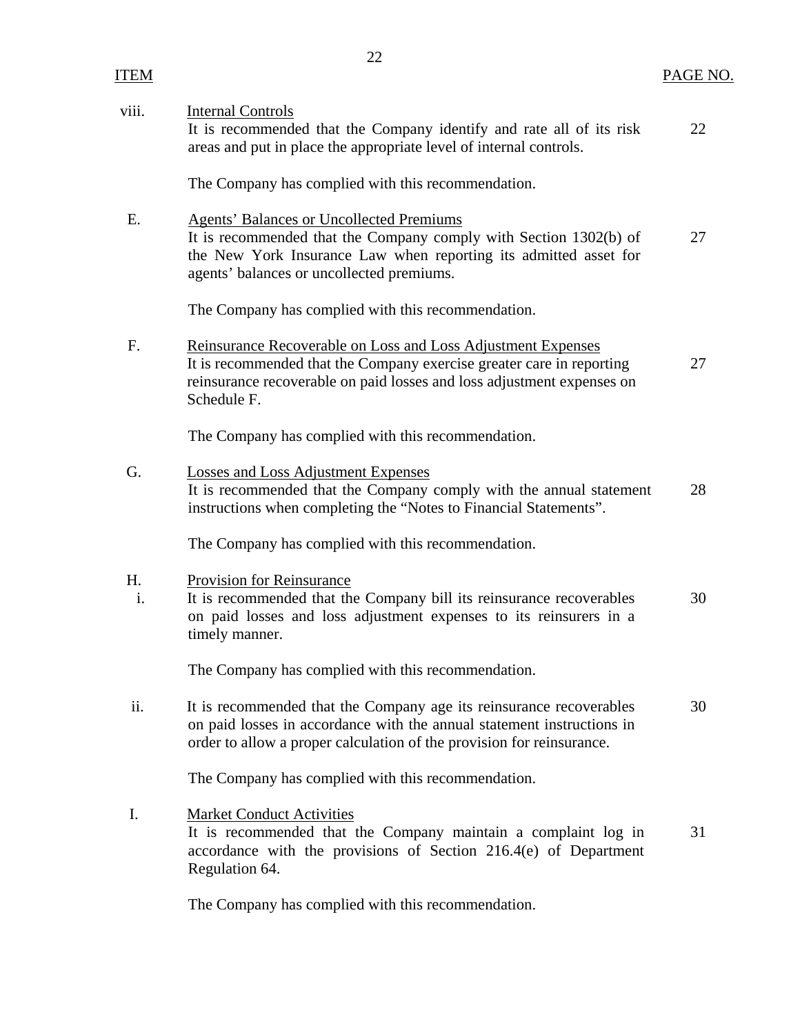| viii.    | <b>Internal Controls</b><br>It is recommended that the Company identify and rate all of its risk<br>areas and put in place the appropriate level of internal controls.                                                                | 22 |
|----------|---------------------------------------------------------------------------------------------------------------------------------------------------------------------------------------------------------------------------------------|----|
|          | The Company has complied with this recommendation.                                                                                                                                                                                    |    |
| Ε.       | <b>Agents' Balances or Uncollected Premiums</b><br>It is recommended that the Company comply with Section 1302(b) of<br>the New York Insurance Law when reporting its admitted asset for<br>agents' balances or uncollected premiums. | 27 |
|          | The Company has complied with this recommendation.                                                                                                                                                                                    |    |
| F.       | Reinsurance Recoverable on Loss and Loss Adjustment Expenses<br>It is recommended that the Company exercise greater care in reporting<br>reinsurance recoverable on paid losses and loss adjustment expenses on<br>Schedule F.        | 27 |
|          | The Company has complied with this recommendation.                                                                                                                                                                                    |    |
| G.       | <b>Losses and Loss Adjustment Expenses</b><br>It is recommended that the Company comply with the annual statement<br>instructions when completing the "Notes to Financial Statements".                                                | 28 |
|          | The Company has complied with this recommendation.                                                                                                                                                                                    |    |
| H.<br>i. | Provision for Reinsurance<br>It is recommended that the Company bill its reinsurance recoverables<br>on paid losses and loss adjustment expenses to its reinsurers in a<br>timely manner.                                             | 30 |
|          | The Company has complied with this recommendation.                                                                                                                                                                                    |    |
| ii.      | It is recommended that the Company age its reinsurance recoverables<br>on paid losses in accordance with the annual statement instructions in<br>order to allow a proper calculation of the provision for reinsurance.                | 30 |
|          | The Company has complied with this recommendation.                                                                                                                                                                                    |    |
| Ι.       | <b>Market Conduct Activities</b><br>It is recommended that the Company maintain a complaint log in<br>accordance with the provisions of Section 216.4(e) of Department<br>Regulation 64.                                              | 31 |

The Company has complied with this recommendation.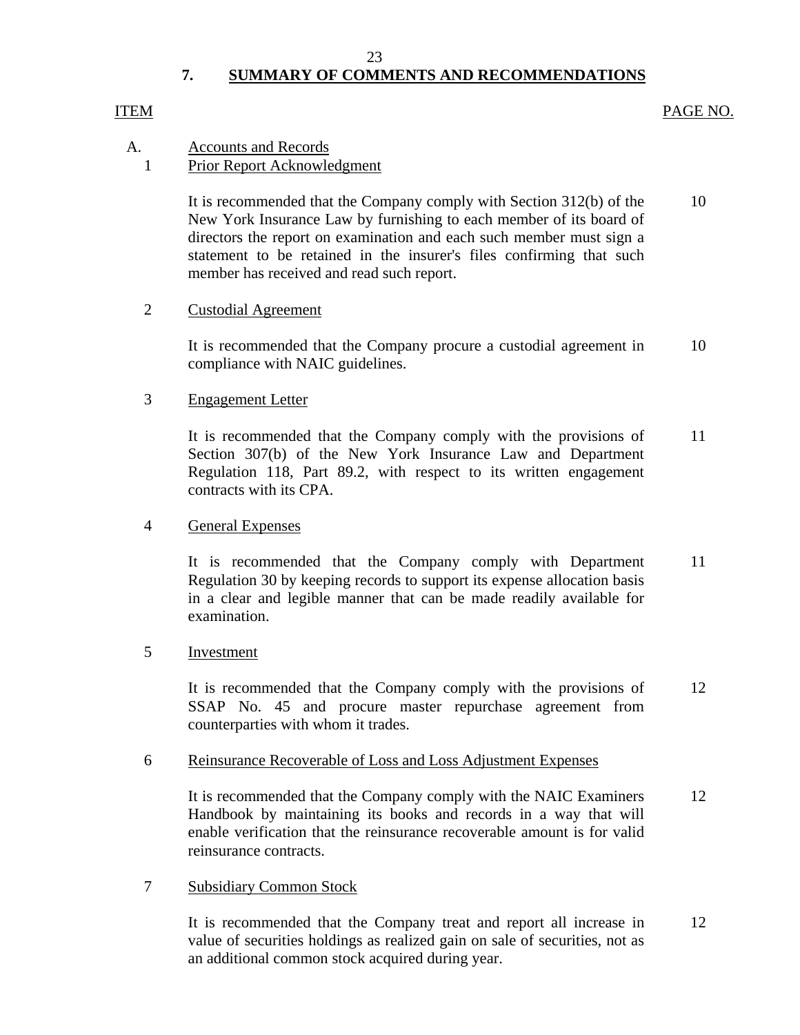#### 23

## **7. SUMMARY OF COMMENTS AND RECOMMENDATIONS**

#### <span id="page-24-0"></span>ITEM PAGE NO.

## A. Accounts and Records

### 1 Prior Report Acknowledgment

It is recommended that the Company comply with Section 312(b) of the 10 New York Insurance Law by furnishing to each member of its board of directors the report on examination and each such member must sign a statement to be retained in the insurer's files confirming that such member has received and read such report.

#### 2 Custodial Agreement

It is recommended that the Company procure a custodial agreement in 10 compliance with NAIC guidelines.

### 3 Engagement Letter

It is recommended that the Company comply with the provisions of 11 Section 307(b) of the New York Insurance Law and Department Regulation 118, Part 89.2, with respect to its written engagement contracts with its CPA.

#### 4 General Expenses

It is recommended that the Company comply with Department 11 Regulation 30 by keeping records to support its expense allocation basis in a clear and legible manner that can be made readily available for examination.

#### 5 Investment

It is recommended that the Company comply with the provisions of 12 SSAP No. 45 and procure master repurchase agreement from counterparties with whom it trades.

#### 6 Reinsurance Recoverable of Loss and Loss Adjustment Expenses

It is recommended that the Company comply with the NAIC Examiners 12 Handbook by maintaining its books and records in a way that will enable verification that the reinsurance recoverable amount is for valid reinsurance contracts.

#### 7 Subsidiary Common Stock

It is recommended that the Company treat and report all increase in 12 value of securities holdings as realized gain on sale of securities, not as an additional common stock acquired during year.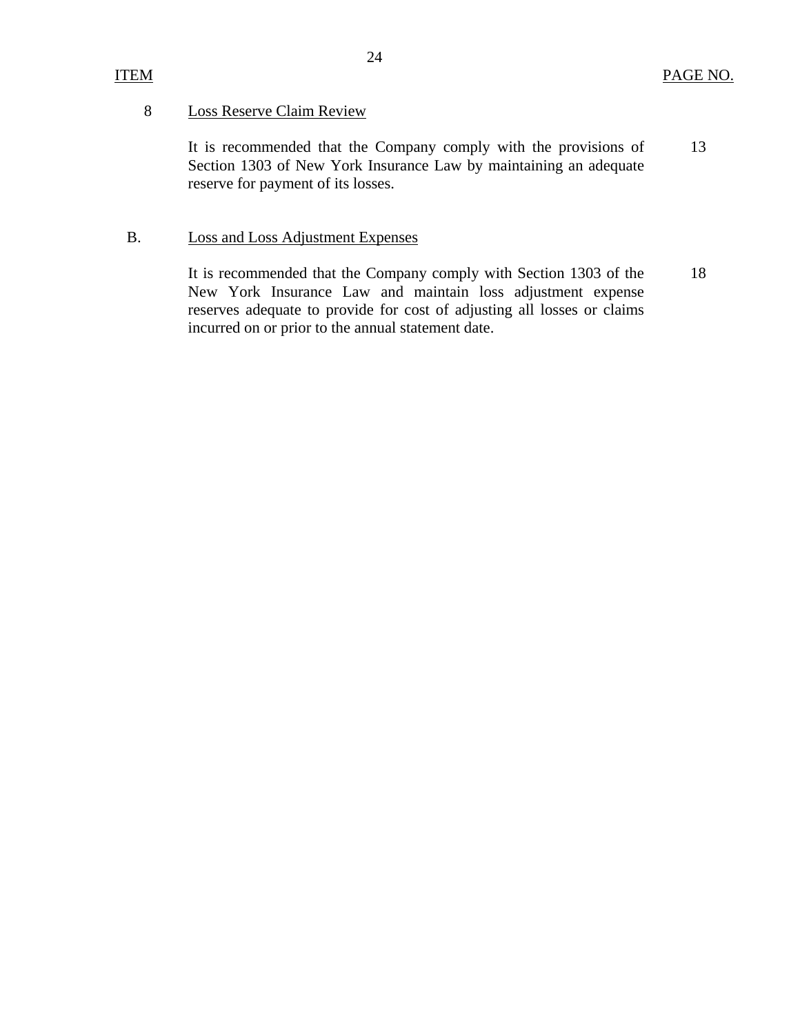## ITEM

#### 8 Loss Reserve Claim Review

It is recommended that the Company comply with the provisions of Section 1303 of New York Insurance Law by maintaining an adequate reserve for payment of its losses. 13

### B. Loss and Loss Adjustment Expenses

It is recommended that the Company comply with Section 1303 of the New York Insurance Law and maintain loss adjustment expense reserves adequate to provide for cost of adjusting all losses or claims incurred on or prior to the annual statement date. 18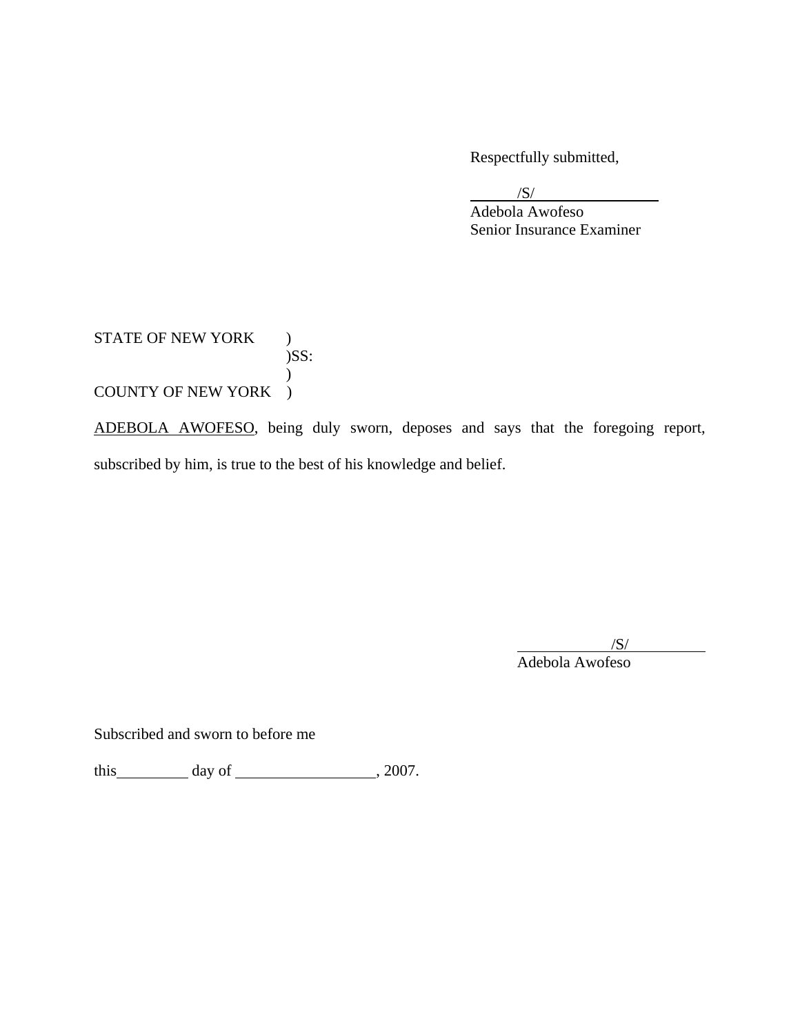Respectfully submitted,

 $\overline{\phantom{a}}$ /S/

 Adebola Awofeso Senior Insurance Examiner

STATE OF NEW YORK )  $)$ SS:  $\mathcal{L}$ COUNTY OF NEW YORK )

ADEBOLA AWOFESO, being duly sworn, deposes and says that the foregoing report, subscribed by him, is true to the best of his knowledge and belief.

 $\overline{\phantom{a}}$  /S/ Adebola Awofeso

Subscribed and sworn to before me

this  $\qquad \qquad$  day of  $\qquad \qquad$  , 2007.